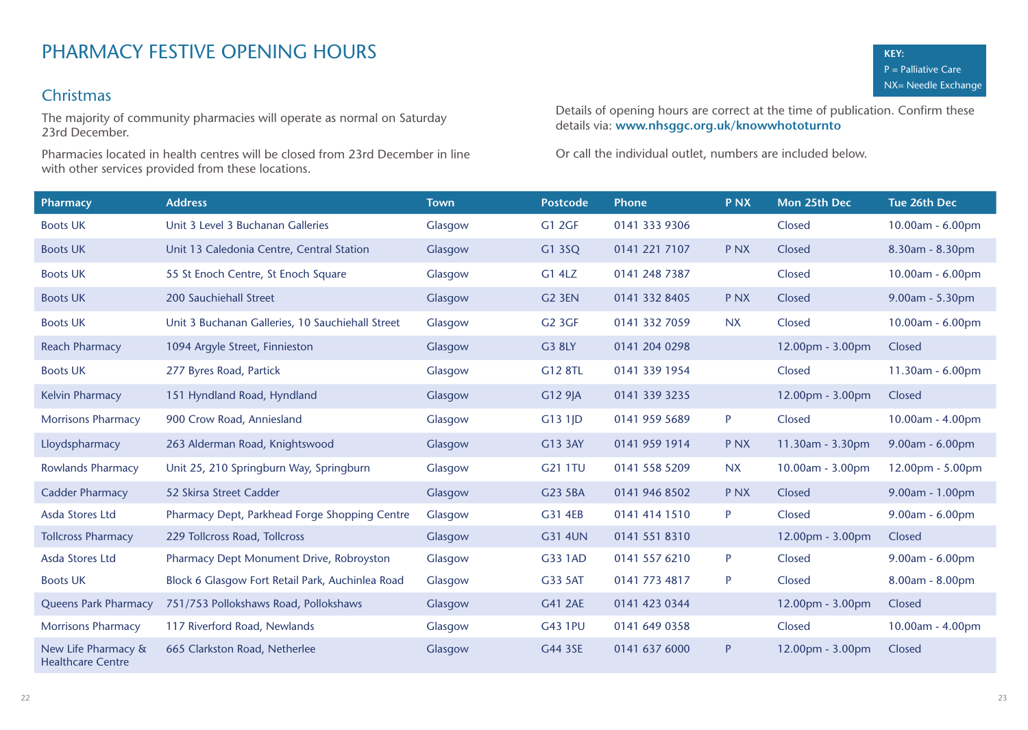# Christmas

The majority of community pharmacies will operate as normal on Saturday 23rd December.

Pharmacies located in health centres will be closed from 23rd December in line with other services provided from these locations.

Details of opening hours are correct at the time of publication. Confirm these details via: **www.nhsggc.org.uk/knowwhototurnto** 

| <b>Pharmacy</b>                                 | <b>Address</b>                                   | <b>Town</b> | <b>Postcode</b> | <b>Phone</b>  | <b>PNX</b>      | Mon 25th Dec       | Tue 26th Dec       |
|-------------------------------------------------|--------------------------------------------------|-------------|-----------------|---------------|-----------------|--------------------|--------------------|
| <b>Boots UK</b>                                 | Unit 3 Level 3 Buchanan Galleries                | Glasgow     | <b>G1 2GF</b>   | 0141 333 9306 |                 | Closed             | 10.00am - 6.00pm   |
| <b>Boots UK</b>                                 | Unit 13 Caledonia Centre, Central Station        | Glasgow     | G1 3SQ          | 0141 221 7107 | <b>PNX</b>      | Closed             | 8.30am - 8.30pm    |
| <b>Boots UK</b>                                 | 55 St Enoch Centre, St Enoch Square              | Glasgow     | G1 4LZ          | 0141 248 7387 |                 | Closed             | 10.00am - 6.00pm   |
| <b>Boots UK</b>                                 | 200 Sauchiehall Street                           | Glasgow     | <b>G2 3EN</b>   | 0141 332 8405 | P <sub>NX</sub> | Closed             | 9.00am - 5.30pm    |
| <b>Boots UK</b>                                 | Unit 3 Buchanan Galleries, 10 Sauchiehall Street | Glasgow     | G2 3GF          | 0141 332 7059 | NX.             | Closed             | $10.00am - 6.00pm$ |
| <b>Reach Pharmacy</b>                           | 1094 Argyle Street, Finnieston                   | Glasgow     | G3 8LY          | 0141 204 0298 |                 | 12.00pm - 3.00pm   | Closed             |
| <b>Boots UK</b>                                 | 277 Byres Road, Partick                          | Glasgow     | G12 8TL         | 0141 339 1954 |                 | Closed             | 11.30am - 6.00pm   |
| <b>Kelvin Pharmacy</b>                          | 151 Hyndland Road, Hyndland                      | Glasgow     | $G129$ JA       | 0141 339 3235 |                 | $12.00pm - 3.00pm$ | Closed             |
| <b>Morrisons Pharmacy</b>                       | 900 Crow Road, Anniesland                        | Glasgow     | $G131$ JD       | 0141 959 5689 | P               | Closed             | 10.00am - 4.00pm   |
| Lloydspharmacy                                  | 263 Alderman Road, Knightswood                   | Glasgow     | G13 3AY         | 0141 959 1914 | P <sub>NX</sub> | 11.30am - 3.30pm   | 9.00am - 6.00pm    |
| <b>Rowlands Pharmacy</b>                        | Unit 25, 210 Springburn Way, Springburn          | Glasgow     | G21 1TU         | 0141 558 5209 | NX.             | 10.00am - 3.00pm   | 12.00pm - 5.00pm   |
| <b>Cadder Pharmacy</b>                          | 52 Skirsa Street Cadder                          | Glasgow     | G23 5BA         | 0141 946 8502 | <b>PNX</b>      | Closed             | 9.00am - 1.00pm    |
| Asda Stores Ltd                                 | Pharmacy Dept, Parkhead Forge Shopping Centre    | Glasgow     | G31 4EB         | 0141 414 1510 | P               | Closed             | 9.00am - 6.00pm    |
| <b>Tollcross Pharmacy</b>                       | 229 Tollcross Road, Tollcross                    | Glasgow     | <b>G31 4UN</b>  | 0141 551 8310 |                 | 12.00pm - 3.00pm   | Closed             |
| Asda Stores Ltd                                 | Pharmacy Dept Monument Drive, Robroyston         | Glasgow     | G33 1AD         | 0141 557 6210 | P               | Closed             | 9.00am - 6.00pm    |
| <b>Boots UK</b>                                 | Block 6 Glasgow Fort Retail Park, Auchinlea Road | Glasgow     | G33 5AT         | 0141 773 4817 | P               | Closed             | 8.00am - 8.00pm    |
| <b>Queens Park Pharmacy</b>                     | 751/753 Pollokshaws Road, Pollokshaws            | Glasgow     | G41 2AE         | 0141 423 0344 |                 | 12.00pm - 3.00pm   | Closed             |
| <b>Morrisons Pharmacy</b>                       | 117 Riverford Road, Newlands                     | Glasgow     | <b>G43 1PU</b>  | 0141 649 0358 |                 | Closed             | 10.00am - 4.00pm   |
| New Life Pharmacy &<br><b>Healthcare Centre</b> | 665 Clarkston Road, Netherlee                    | Glasgow     | G44 3SE         | 0141 637 6000 | P               | 12.00pm - 3.00pm   | Closed             |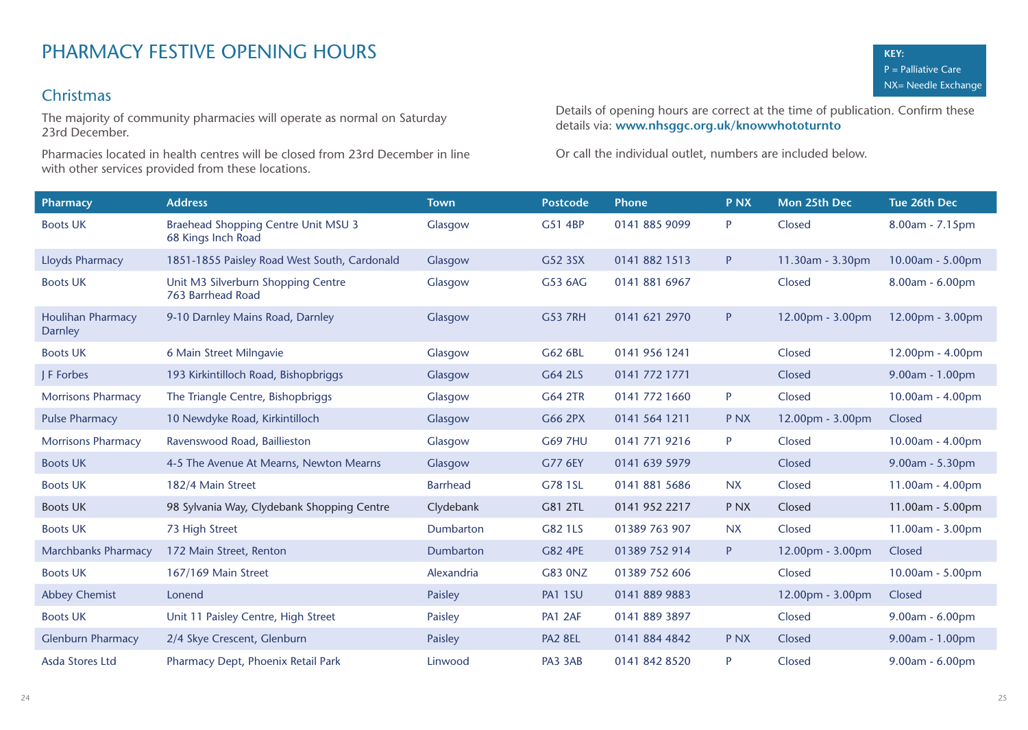# Christmas

The majority of community pharmacies will operate as normal on Saturday 23rd December.

Pharmacies located in health centres will be closed from 23rd December in line with other services provided from these locations.

Details of opening hours are correct at the time of publication. Confirm these details via: **www.nhsggc.org.uk/knowwhototurnto** 

| <b>Pharmacy</b>                     | <b>Address</b>                                                   | <b>Town</b>      | <b>Postcode</b> | <b>Phone</b>  | <b>PNX</b> | Mon 25th Dec     | Tue 26th Dec       |
|-------------------------------------|------------------------------------------------------------------|------------------|-----------------|---------------|------------|------------------|--------------------|
| <b>Boots UK</b>                     | <b>Braehead Shopping Centre Unit MSU 3</b><br>68 Kings Inch Road | Glasgow          | G51 4BP         | 0141 885 9099 | P          | Closed           | 8.00am - 7.15pm    |
| Lloyds Pharmacy                     | 1851-1855 Paisley Road West South, Cardonald                     | Glasgow          | G52 3SX         | 0141 882 1513 | P          | 11.30am - 3.30pm | 10.00am - 5.00pm   |
| <b>Boots UK</b>                     | Unit M3 Silverburn Shopping Centre<br>763 Barrhead Road          | Glasgow          | G53 6AG         | 0141 881 6967 |            | Closed           | 8.00am - 6.00pm    |
| <b>Houlihan Pharmacy</b><br>Darnley | 9-10 Darnley Mains Road, Darnley                                 | Glasgow          | <b>G53 7RH</b>  | 0141 621 2970 | P          | 12.00pm - 3.00pm | 12.00pm - 3.00pm   |
| <b>Boots UK</b>                     | 6 Main Street Milngavie                                          | Glasgow          | G62 6BL         | 0141 956 1241 |            | Closed           | $12.00pm - 4.00pm$ |
| J F Forbes                          | 193 Kirkintilloch Road, Bishopbriggs                             | Glasgow          | G64 2LS         | 0141 772 1771 |            | Closed           | 9.00am - 1.00pm    |
| <b>Morrisons Pharmacy</b>           | The Triangle Centre, Bishopbriggs                                | Glasgow          | G64 2TR         | 0141 772 1660 | P          | Closed           | 10.00am - 4.00pm   |
| <b>Pulse Pharmacy</b>               | 10 Newdyke Road, Kirkintilloch                                   | Glasgow          | G66 2PX         | 0141 564 1211 | <b>PNX</b> | 12.00pm - 3.00pm | Closed             |
| <b>Morrisons Pharmacy</b>           | Ravenswood Road, Baillieston                                     | Glasgow          | <b>G69 7HU</b>  | 0141 771 9216 | P          | Closed           | $10.00am - 4.00pm$ |
| <b>Boots UK</b>                     | 4-5 The Avenue At Mearns, Newton Mearns                          | Glasgow          | G77 6EY         | 0141 639 5979 |            | Closed           | $9.00am - 5.30pm$  |
| <b>Boots UK</b>                     | 182/4 Main Street                                                | <b>Barrhead</b>  | G78 1SL         | 0141 881 5686 | <b>NX</b>  | Closed           | 11.00am - 4.00pm   |
| <b>Boots UK</b>                     | 98 Sylvania Way, Clydebank Shopping Centre                       | Clydebank        | G81 2TL         | 0141 952 2217 | <b>PNX</b> | Closed           | 11.00am - 5.00pm   |
| <b>Boots UK</b>                     | 73 High Street                                                   | <b>Dumbarton</b> | G82 1LS         | 01389 763 907 | <b>NX</b>  | Closed           | 11.00am - 3.00pm   |
| <b>Marchbanks Pharmacy</b>          | 172 Main Street, Renton                                          | <b>Dumbarton</b> | G82 4PE         | 01389 752 914 | P.         | 12.00pm - 3.00pm | Closed             |
| <b>Boots UK</b>                     | 167/169 Main Street                                              | Alexandria       | G83 0NZ         | 01389 752 606 |            | Closed           | 10.00am - 5.00pm   |
| <b>Abbey Chemist</b>                | Lonend                                                           | Paisley          | <b>PA1 1SU</b>  | 0141 889 9883 |            | 12.00pm - 3.00pm | Closed             |
| <b>Boots UK</b>                     | Unit 11 Paisley Centre, High Street                              | Paisley          | PA1 2AF         | 0141 889 3897 |            | Closed           | $9.00am - 6.00pm$  |
| <b>Glenburn Pharmacy</b>            | 2/4 Skye Crescent, Glenburn                                      | Paisley          | PA2 8EL         | 0141 884 4842 | <b>PNX</b> | Closed           | 9.00am - 1.00pm    |
| Asda Stores Ltd                     | Pharmacy Dept, Phoenix Retail Park                               | Linwood          | PA3 3AB         | 0141 842 8520 | P          | Closed           | 9.00am - 6.00pm    |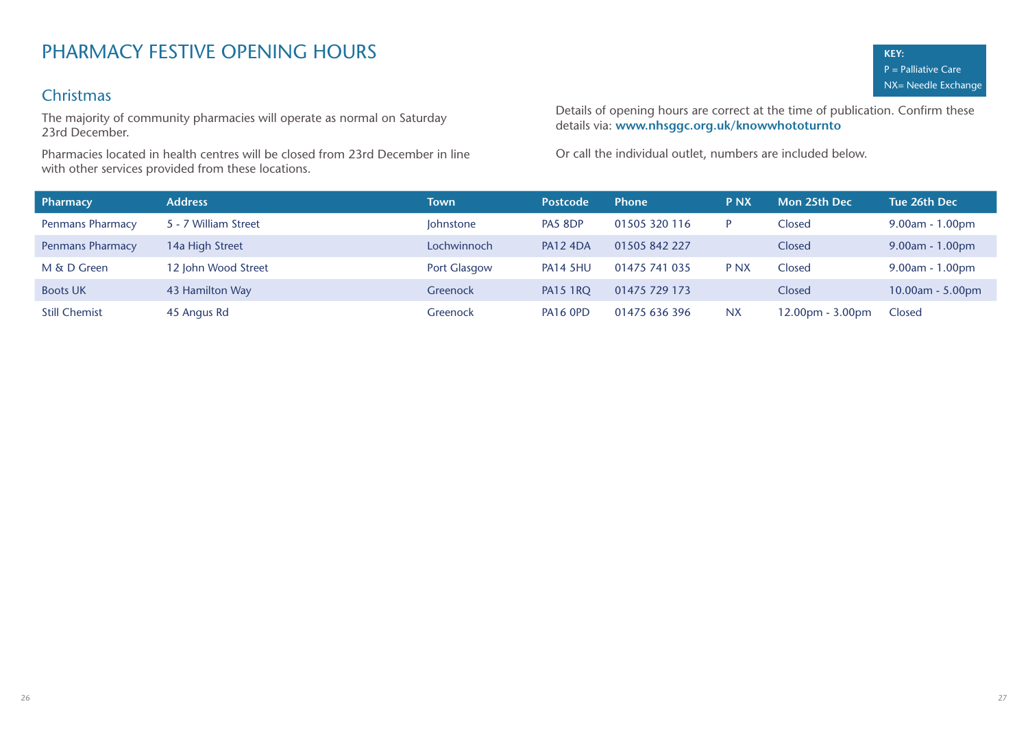# PHARMACY FESTIVE OPENING HOURS

## Christmas

The majority of community pharmacies will operate as normal on Saturday 23rd December.

Pharmacies located in health centres will be closed from 23rd December in line with other services provided from these locations.

Details of opening hours are correct at the time of publication. Confirm these details via: **www.nhsggc.org.uk/knowwhototurnto** 

| Pharmacy                | <b>Address</b>       | Town             | <b>Postcode</b> | <b>Phone</b>  | <b>PNX</b>      | Mon 25th Dec       | Tue 26th Dec       |
|-------------------------|----------------------|------------------|-----------------|---------------|-----------------|--------------------|--------------------|
| <b>Penmans Pharmacy</b> | 5 - 7 William Street | <b>Johnstone</b> | PA5 8DP         | 01505 320 116 | D               | Closed             | 9.00am - 1.00pm    |
| <b>Penmans Pharmacy</b> | 14a High Street      | Lochwinnoch      | <b>PA12 4DA</b> | 01505 842 227 |                 | Closed             | $9.00am - 1.00pm$  |
| M & D Green             | 12 John Wood Street  | Port Glasgow     | <b>PA14 5HU</b> | 01475 741 035 | P <sub>NX</sub> | Closed             | $9.00am - 1.00pm$  |
| <b>Boots UK</b>         | 43 Hamilton Way      | <b>Greenock</b>  | <b>PA15 1RO</b> | 01475 729 173 |                 | Closed             | $10.00am - 5.00pm$ |
| <b>Still Chemist</b>    | 45 Angus Rd          | <b>Greenock</b>  | PA16 OPD        | 01475 636 396 | <b>NX</b>       | $12.00pm - 3.00pm$ | Closed             |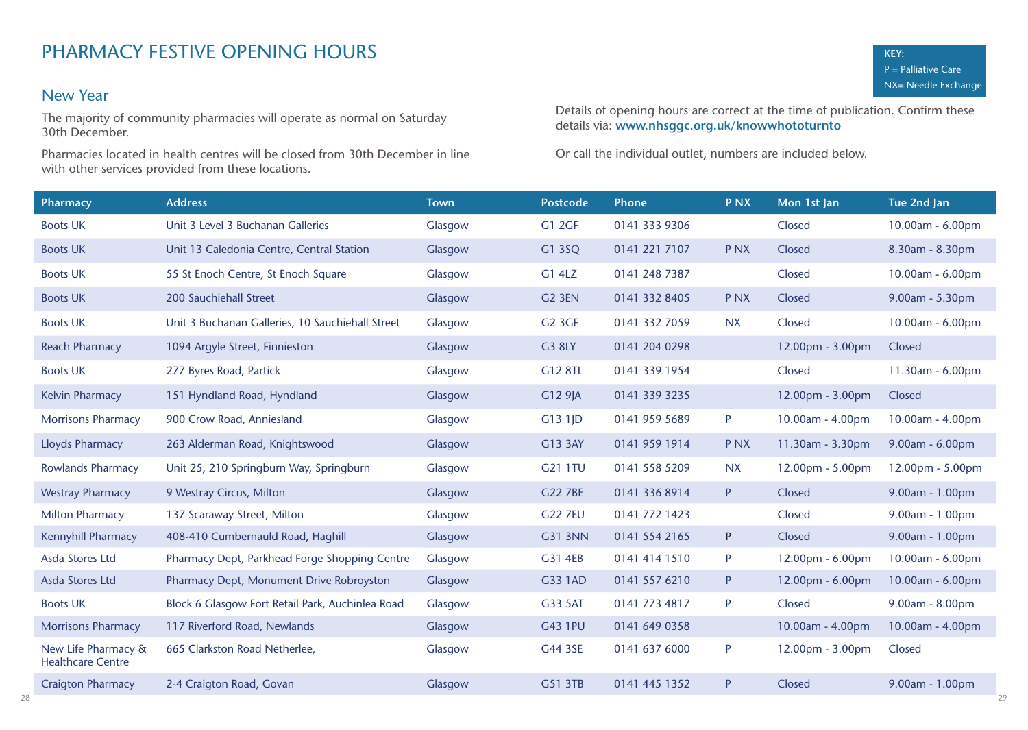### New Year

The majority of community pharmacies will operate as normal on Saturday 30th December.

Pharmacies located in health centres will be closed from 30th December in line with other services provided from these locations.

Details of opening hours are correct at the time of publication. Confirm these details via: **www.nhsggc.org.uk/knowwhototurnto** 

| Pharmacy                                        | <b>Address</b>                                   | <b>Town</b> | <b>Postcode</b>    | <b>Phone</b>  | <b>PNX</b> | Mon 1st Jan      | Tue 2nd Jan        |
|-------------------------------------------------|--------------------------------------------------|-------------|--------------------|---------------|------------|------------------|--------------------|
| <b>Boots UK</b>                                 | Unit 3 Level 3 Buchanan Galleries                | Glasgow     | <b>G1 2GF</b>      | 0141 333 9306 |            | Closed           | 10.00am - 6.00pm   |
| <b>Boots UK</b>                                 | Unit 13 Caledonia Centre, Central Station        | Glasgow     | G1 3SQ             | 0141 221 7107 | <b>PNX</b> | Closed           | 8.30am - 8.30pm    |
| <b>Boots UK</b>                                 | 55 St Enoch Centre, St Enoch Square              | Glasgow     | G1 4LZ             | 0141 248 7387 |            | Closed           | 10.00am - 6.00pm   |
| <b>Boots UK</b>                                 | 200 Sauchiehall Street                           | Glasgow     | G <sub>2</sub> 3EN | 0141 332 8405 | <b>PNX</b> | Closed           | 9.00am - 5.30pm    |
| <b>Boots UK</b>                                 | Unit 3 Buchanan Galleries, 10 Sauchiehall Street | Glasgow     | <b>G2 3GF</b>      | 0141 332 7059 | <b>NX</b>  | Closed           | 10.00am - 6.00pm   |
| <b>Reach Pharmacy</b>                           | 1094 Argyle Street, Finnieston                   | Glasgow     | <b>G3 8LY</b>      | 0141 204 0298 |            | 12.00pm - 3.00pm | Closed             |
| <b>Boots UK</b>                                 | 277 Byres Road, Partick                          | Glasgow     | G12 8TL            | 0141 339 1954 |            | Closed           | 11.30am - 6.00pm   |
| <b>Kelvin Pharmacy</b>                          | 151 Hyndland Road, Hyndland                      | Glasgow     | G12 9JA            | 0141 339 3235 |            | 12.00pm - 3.00pm | Closed             |
| <b>Morrisons Pharmacy</b>                       | 900 Crow Road, Anniesland                        | Glasgow     | $G131$ JD          | 0141 959 5689 | P          | 10.00am - 4.00pm | 10.00am - 4.00pm   |
| <b>Lloyds Pharmacy</b>                          | 263 Alderman Road, Knightswood                   | Glasgow     | G13 3AY            | 0141 959 1914 | <b>PNX</b> | 11.30am - 3.30pm | 9.00am - 6.00pm    |
| <b>Rowlands Pharmacy</b>                        | Unit 25, 210 Springburn Way, Springburn          | Glasgow     | G21 1TU            | 0141 558 5209 | <b>NX</b>  | 12.00pm - 5.00pm | $12.00pm - 5.00pm$ |
| <b>Westray Pharmacy</b>                         | 9 Westray Circus, Milton                         | Glasgow     | <b>G22 7BE</b>     | 0141 336 8914 | P          | Closed           | $9.00am - 1.00pm$  |
| <b>Milton Pharmacy</b>                          | 137 Scaraway Street, Milton                      | Glasgow     | <b>G22 7EU</b>     | 0141 772 1423 |            | Closed           | 9.00am - 1.00pm    |
| <b>Kennyhill Pharmacy</b>                       | 408-410 Cumbernauld Road, Haghill                | Glasgow     | G31 3NN            | 0141 554 2165 | P          | Closed           | 9.00am - 1.00pm    |
| Asda Stores Ltd                                 | Pharmacy Dept, Parkhead Forge Shopping Centre    | Glasgow     | G31 4EB            | 0141 414 1510 | P          | 12.00pm - 6.00pm | 10.00am - 6.00pm   |
| Asda Stores Ltd                                 | Pharmacy Dept, Monument Drive Robroyston         | Glasgow     | G33 1AD            | 0141 557 6210 | P          | 12.00pm - 6.00pm | 10.00am - 6.00pm   |
| <b>Boots UK</b>                                 | Block 6 Glasgow Fort Retail Park, Auchinlea Road | Glasgow     | G33 5AT            | 0141 773 4817 | P          | Closed           | 9.00am - 8.00pm    |
| <b>Morrisons Pharmacy</b>                       | 117 Riverford Road, Newlands                     | Glasgow     | <b>G43 1PU</b>     | 0141 649 0358 |            | 10.00am - 4.00pm | 10.00am - 4.00pm   |
| New Life Pharmacy &<br><b>Healthcare Centre</b> | 665 Clarkston Road Netherlee,                    | Glasgow     | G44 3SE            | 0141 637 6000 | P          | 12.00pm - 3.00pm | Closed             |
| <b>Craigton Pharmacy</b>                        | 2-4 Craigton Road, Govan                         | Glasgow     | G51 3TB            | 0141 445 1352 | P          | Closed           | 9.00am - 1.00pm    |
|                                                 |                                                  |             |                    |               |            |                  |                    |